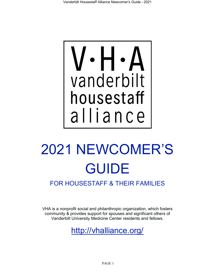

# 2021 NEWCOMER'S GUIDE

FOR HOUSESTAFF & THEIR FAMILIES

VHA is a nonprofit social and philanthropic organization, which fosters community & provides support for spouses and significant others of Vanderbilt University Medicine Center residents and fellows.

<http://vhalliance.org/>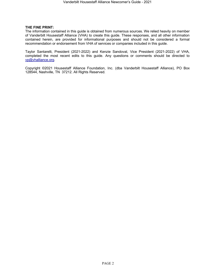#### **THE FINE PRINT:**

The information contained in this guide is obtained from numerous sources. We relied heavily on member of Vanderbilt Housestaff Alliance (VHA) to create this guide. These responses, and all other information contained herein, are provided for informational purposes and should not be considered a formal recommendation or endorsement from VHA of services or companies included in this guide.

Taylor Santarelli, President (2021-2022) and Kenzie Sandoval, Vice President (2021-2022) of VHA, completed the most recent edits to this guide. Any questions or comments should be directed to [vp@vhalliance.org.](mailto:vp@vhalliance.org)

Copyright ©2021 Housestaff Alliance Foundation, Inc. (dba Vanderbilt Housestaff Alliance), PO Box 128544, Nashville, TN 37212. All Rights Reserved.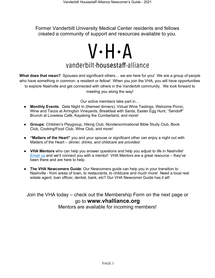Former Vanderbilt University Medical Center residents and fellows created a community of support and resources available to you.

# $V \cdot H \cdot A$ vanderbilt-housestaff-alliance

**What does that mean?** Spouses and significant others… we are here for you! We are a group of people who have something in common: a resident or fellow! When you join the VHA, you will have opportunities to explore Nashville and get connected with others in the Vanderbilt community. We look forward to meeting you along the way!

Our active members take part in…

- **Monthly Events**: Date Night In (themed dinners), Virtual Wine Tastings, Welcome Picnic, Wine and Tacos at Arrington Vineyards, Breakfast with Santa, Easter Egg Hunt, "Sendoff" Brunch at Loveless Café, Kayaking the Cumberland, and more!
- **Groups**: Children's Playgroup, Hiking Club, Nondenominational Bible Study Club, Book Club, Cooking/Food Club, Wine Club, and more!
- **"Matters of the Heart"** you and your spouse or significant other can enjoy a night out with Matters of the Heart – *dinner, drinks, and childcare are provided*.
- **VHA Mentors** who can help you answer questions and help you adjust to life in Nashville! [Email us](mailto:president@vhalliance.org?subject=Seeking%20VHA%20Mentor) and we'll connect you with a mentor! VHA Mentors are a great resource – they've been there and are here to help.
- **The VHA Newcomers Guide**: Our Newcomers guide can help you in your transition to Nashville - from areas of town, to restaurants, to childcare and much more! Need a local real estate agent, loan officer, dentist, bank, etc? Our VHA Newcomer Guide has it all!

Join the VHA today – check out the Membership Form on the next page or go to **www.vhalliance.org**

Mentors are available for incoming members!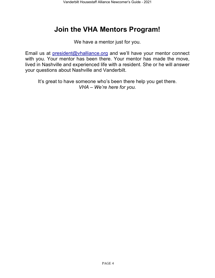# **Join the VHA Mentors Program!**

We have a mentor just for you.

Email us at [president@vhalliance.org](mailto:president@vhalliance.org) and we'll have your mentor connect with you. Your mentor has been there. Your mentor has made the move, lived in Nashville and experienced life with a resident. She or he will answer your questions about Nashville and Vanderbilt.

It's great to have someone who's been there help you get there. *VHA – We're here for you.*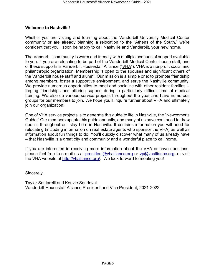### **Welcome to Nashville!**

Whether you are visiting and learning about the Vanderbilt University Medical Center community or are already planning a relocation to the "Athens of the South," we're confident that you'll soon be happy to call Nashville and Vanderbilt, your new home.

The Vanderbilt community is warm and friendly with multiple avenues of support available to you. If you are relocating to be part of the Vanderbilt Medical Center house staff, one of these supports is Vanderbilt Housestaff Alliance ("VHA"). VHA is a nonprofit social and philanthropic organization. Membership is open to the spouses and significant others of the Vanderbilt house staff and alumni. Our mission is a simple one: to promote friendship among members, foster a supportive environment, and serve the Nashville community. We provide numerous opportunities to meet and socialize with other resident families - forging friendships and offering support during a particularly difficult time of medical training. We also do various service projects throughout the year and have numerous groups for our members to join. We hope you'll inquire further about VHA and ultimately join our organization!

One of VHA service projects is to generate this guide to life in Nashville, the "Newcomer's Guide." Our members update this guide annually, and many of us have continued to draw upon it throughout our stay here in Nashville. It contains information you will need for relocating (including information on real estate agents who sponsor the VHA) as well as information about fun things to do. You'll quickly discover what many of us already have – that Nashville is a great city and community and a wonderful place to call home.

If you are interested in receiving more information about the VHA or have questions, please feel free to e-mail us at [president@vhalliance.org](mailto:president@vhalliance.org) or [vp@vhalliance.org,](mailto:vp@vhalliance.org) or visit the VHA website at [http://vhalliance.org/.](http://vhalliance.org/) We look forward to meeting you!

Sincerely,

Taylor Santarelli and Kenzie Sandoval Vanderbilt Housestaff Alliance President and Vice President, 2021-2022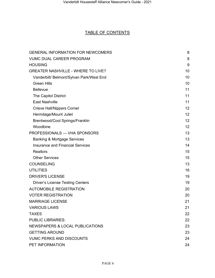### TABLE OF CONTENTS

| <b>GENERAL INFORMATION FOR NEWCOMERS</b>  | 8  |
|-------------------------------------------|----|
| <b>VUMC DUAL CAREER PROGRAM</b>           | 8  |
| <b>HOUSING</b>                            | 9  |
| <b>GREATER NASHVILLE - WHERE TO LIVE?</b> | 10 |
| Vanderbilt/ Belmont/Sylvan Park/West End  | 10 |
| <b>Green Hills</b>                        | 10 |
| <b>Bellevue</b>                           | 11 |
| The Capitol District                      | 11 |
| <b>East Nashville</b>                     | 11 |
| <b>Crieve Hall/Nippers Corner</b>         | 12 |
| Hermitage/Mount Juliet                    | 12 |
| Brentwood/Cool Springs/Franklin           | 12 |
| Woodbine                                  | 12 |
| PROFESSIONALS - VHA SPONSORS              | 13 |
| <b>Banking &amp; Mortgage Services</b>    | 13 |
| <b>Insurance and Financial Services</b>   | 14 |
| <b>Realtors</b>                           | 15 |
| <b>Other Services</b>                     | 15 |
| <b>COUNSELING</b>                         | 13 |
| <b>UTILITIES</b>                          | 16 |
| <b>DRIVER'S LICENSE</b>                   | 19 |
| <b>Driver's License Testing Centers</b>   | 19 |
| <b>AUTOMOBILE REGISTRATION</b>            | 20 |
| <b>VOTER REGISTRATION</b>                 | 20 |
| <b>MARRIAGE LICENSE</b>                   | 21 |
| <b>VARIOUS LAWS</b>                       | 21 |
| <b>TAXES</b>                              | 22 |
| <b>PUBLIC LIBRARIES:</b>                  | 22 |
| NEWSPAPERS & LOCAL PUBLICATIONS           | 23 |
| <b>GETTING AROUND</b>                     | 23 |
| <b>VUMC PERKS AND DISCOUNTS</b>           | 24 |
| PET INFORMATION                           | 24 |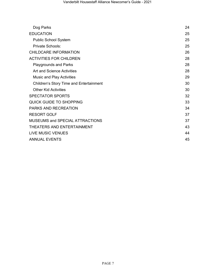| Dog Parks                                      | 24 |
|------------------------------------------------|----|
| <b>EDUCATION</b>                               | 25 |
| <b>Public School System</b>                    | 25 |
| Private Schools:                               | 25 |
| <b>CHILDCARE INFORMATION</b>                   | 26 |
| <b>ACTIVITIES FOR CHILDREN</b>                 | 28 |
| <b>Playgrounds and Parks</b>                   | 28 |
| Art and Science Activities                     | 28 |
| <b>Music and Play Activities</b>               | 29 |
| <b>Children's Story Time and Entertainment</b> | 30 |
| <b>Other Kid Activities</b>                    | 30 |
| <b>SPECTATOR SPORTS</b>                        | 32 |
| QUICK GUIDE TO SHOPPING                        | 33 |
| <b>PARKS AND RECREATION</b>                    | 34 |
| <b>RESORT GOLF</b>                             | 37 |
| <b>MUSEUMS and SPECIAL ATTRACTIONS</b>         | 37 |
| THEATERS AND ENTERTAINMENT                     | 43 |
| LIVE MUSIC VENUES                              | 44 |
| <b>ANNUAL EVENTS</b>                           | 45 |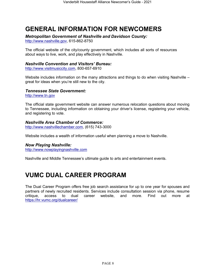# <span id="page-7-0"></span>**GENERAL INFORMATION FOR NEWCOMERS**

*Metropolitan Government of Nashville and Davidson County:*

[http://www.nashville.gov,](http://www.nashville.gov/) 615-862-8750

The official website of the city/county government, which includes all sorts of resources about ways to live, work, and play effectively in Nashville.

### *Nashville Convention and Visitors' Bureau:*

[http://www.visitmusiccity.com,](http://www.visitmusiccity.com/) 800-657-6910

Website includes information on the many attractions and things to do when visiting Nashville – great for ideas when you're still new to the city.

### *Tennessee St[ate Government:](http://www.tn.gov/)*

[http://www.tn.gov](http://www.tn.gov/)

The official state government website can answer numerous relocation questions about moving to Tennessee, including information on obtaining your driver's license, registering your vehicle, and registering to vote.

### *Nashville Area Chamber of Commerce:*

[http://www.nashvillechamber.com,](http://www.nashvillechamber.com/) (615) 743-3000

Website includes a wealth of information useful when planning a move to Nashville.

### *Now Playing Nashville:*

[http://www.nowplayingnashville.com](http://www.nowplayingnashville.com/)

Nashville and Middle Tennessee's ultimate guide to arts and entertainment events.

# <span id="page-7-1"></span>**VUMC DUAL CAREER PROGRAM**

The Dual Career Program offers free job search assistance for up to one year for spouses and partners of newly recruited residents. Services include consultation session via phone, resume critique, access to dual career website, and more. Find out more at <https://hr.vumc.org/dualcareer/>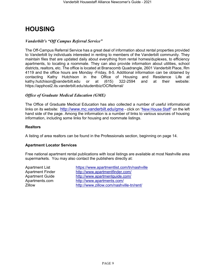# <span id="page-8-0"></span>**HOUSING**

### *Vanderbilt's "Off Campus Referral Service"*

The Off-Campus Referral Service has a great deal of information about rental properties provided to Vanderbilt by individuals interested in renting to members of the Vanderbilt community. They maintain files that are updated daily about everything from rental homes/duplexes, to efficiency apartments, to locating a roommate. They can also provide information about utilities, school districts, realtors, etc. The office is located at Branscomb Quadrangle, 2601 Vanderbilt Place, Rm 4119 and the office hours are Monday -Friday, 8-5. Additional information can be obtained by contacting Kathy Hutchison in the Office of Housing and Residence Life at<br>kathy.hutchison@vanderbilt.edu or at (615) 322-2594 and at their website: [kathy.hutchison@vanderbilt.edu](mailto:kathy.hutchison@vanderbilt.edu) or at  $(615)$  322-2594 and at their <https://apphost2.its.vanderbilt.edu/studentbiz/OCReferral/>

### *Office of Graduate Medical Education (GME)*

The Office of Graduate Medical Education has also collected a number of useful informational links on its website: <http://www.mc.vanderbilt.edu/gme> - click on ["New House Staff"](http://www.mc.vanderbilt.edu/root/vumc.php?site=gme&doc=20376) on the left hand side of the page. Among the information is a number of links to various sources of housing information, including some links for housing and roommate listings.

### **Realtors**

A listing of area realtors can be found in the Professionals section, beginning on page 14.

### **Apartment Locator Services**

Free national apartment rental publications with local listings are available at most Nashville area supermarkets. You may also contact the publishers directly at:

Apartment List <https://www.apartmentlist.com/tn/nashville> Apartment Finder <http://www.apartmentfinder.com/> Apartment Guide <http://www.apartmentguide.com/> Apartments.com <http://www.apartments.com/><br>Zillow and http://www.zillow.com/nashvi <http://www.zillow.com/nashville-tn/rent/>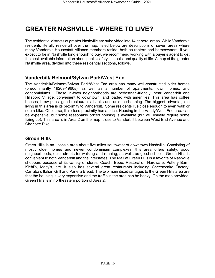# <span id="page-9-0"></span>**GREATER NASHVILLE - WHERE TO LIVE?**

The residential districts of greater Nashville are subdivided into 14 general areas. While Vanderbilt residents literally reside all over the map, listed below are descriptions of seven areas where many Vanderbilt Housestaff Alliance members reside, both as renters and homeowners. If you expect to be in Nashville long enough to buy, we recommend working with a buyer's agent to get the best available information about public safety, schools, and quality of life. A map of the greater Nashville area, divided into these residential sections, follows.

### <span id="page-9-1"></span>**Vanderbilt/ Belmont/Sylvan Park/West End**

The Vanderbilt/Belmont/Sylvan Park/West End area has many well-constructed older homes (predominantly 1920s-1960s), as well as a number of apartments, town homes, and condominiums. These in-town neighborhoods are pedestrian-friendly, near Vanderbilt and Hillsboro Village, convenient to downtown, and loaded with amenities. This area has coffee houses, brew pubs, good restaurants, banks and unique shopping. The biggest advantage to living in this area is its proximity to Vanderbilt. Some residents live close enough to even walk or ride a bike. Of course, this close proximity has a price. Housing in the Vandy/West End area can be expensive, but some reasonably priced housing is available (but will usually require some fixing up). This area is in Area 2 on the map, close to Vanderbilt between West End Avenue and Charlotte Pike.

### <span id="page-9-2"></span>**Green Hills**

Green Hills is an upscale area about five miles southwest of downtown Nashville. Consisting of mostly older homes and newer condominium complexes, this area offers safety, good neighborhoods, quiet streets for walking and running, as wells as good schools. Green Hills is convenient to both Vanderbilt and the interstates. The Mall at Green Hills is a favorite of Nashville shoppers because of its variety of stores: Coach, Bebe, Restoration Hardware, Pottery Barn, Kiehl's, Macy's, etc. It also has several great restaurants including Cheesecake Factory, Carraba's Italian Grill and Panera Bread. The two main disadvantages to the Green Hills area are that the housing is very expensive and the traffic in the area can be heavy. On the map provided, Green Hills is in northeastern portion of Area 2.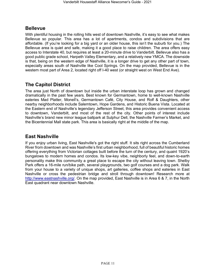### <span id="page-10-0"></span>**Bellevue**

With plentiful housing in the rolling hills west of downtown Nashville, it's easy to see what makes Bellevue so popular. This area has a lot of apartments, condos and subdivisions that are affordable. (If you're looking for a big yard or an older house, this isn't the suburb for you.) The Bellevue area is quiet and safe, making it a good place to raise children. The area offers easy access to Interstate 40, but requires at least a 20-minute drive to Vanderbilt. Bellevue also has a good public grade school, Harpeth Valley Elementary, and a relatively new YMCA. The downside is that, being on the western edge of Nashville, it is a longer drive to get any other part of town, especially areas south of Nashville like Cool Springs. On the map provided, Bellevue is in the western most part of Area 2, located right off I-40 west (or straight west on West End Ave).

### <span id="page-10-1"></span>**The Capitol District**

The area just North of downtown but inside the urban interstate loop has grown and changed dramatically in the past few years. Best known for Germantown, home to well-known Nashville eateries Mad Platter, Monell's, Germantown Café, City House, and Rolf & Daughters, other nearby neighborhoods include Salemtown, Hope Gardens, and Historic Buena Vista. Located at the Eastern end of Nashville's legendary Jefferson Street, this area provides convenient access to downtown, Vanderbilt, and most of the rest of the city. Other points of interest include Nashville's brand new minor league ballpark at Sulphur Dell, the Nashville Farmer's Market, and the Bicentennial Mall state park. This area is basically right at the middle of the map.

### <span id="page-10-2"></span>**East Nashville**

If you enjoy urban living, East Nashville's got the right stuff. It sits right across the Cumberland River from downtown and was Nashville's first urban neighborhood, full of beautiful historic homes offering everything from Victorian cottages built before the turn of the century, and quaint 1920's bungalows to modern homes and condos. Its low-key vibe, neighborly feel, and down-to-earth personality make this community a great place to escape the city without leaving town. Shelby Park offers a 16-mile run/bike path, several playgrounds, two golf courses and a dog park. Walk from your house to a variety of unique shops, art galleries, coffee shops and eateries in East Nashville or cross the pedestrian bridge and stroll through downtown! Research more at [http://www.eastnashville.org/.](http://www.eastnashville.org/) On the map provided, East Nashville is in Area 6 & 7, in the North East quadrant near downtown Nashville.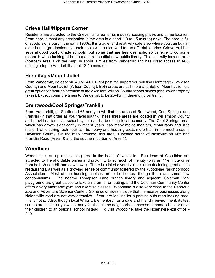### <span id="page-11-0"></span>**Crieve Hall/Nippers Corner**

Residents are attracted to the Crieve Hall area for its modest housing prices and prime location. From here, almost any destination in the area is a short (10 to 15 minute) drive. The area is full of subdivisions built in the early 1960s. It is a quiet and relatively safe area where you can buy an older house (predominantly ranch-style) with a nice yard for an affordable price. Crieve Hall has several good public grade schools (but some that are less desirable, so be sure to do some research when looking at homes) and a beautiful new public library. This centrally located area (northern Area 1 on the map) is about 8 miles from Vanderbilt and has great access to I-65, making a trip to Vanderbilt about 12-15 minutes.

### <span id="page-11-1"></span>**Hermitage/Mount Juliet**

From Vanderbilt, go east on I40 or I440. Right past the airport you will find Hermitage (Davidson County) and Mount Juliet (Wilson County). Both areas are still more affordable; Mount Juliet is a great option for families because of the excellent Wilson County school district (and lower property taxes). Expect commute times to Vanderbilt to be 25-45min depending on traffic.

### <span id="page-11-2"></span>**Brentwood/Cool Springs/Franklin**

From Vanderbilt, go South on I-65 and you will find the areas of Brentwood, Cool Springs, and Franklin (in that order as you travel south). These three areas are located in Williamson County and provide a fantastic school system and a booming local economy. The Cool Springs area, which has grown significantly in recent years, has many movie theaters, restaurants and strip malls. Traffic during rush hour can be heavy and housing costs more than in the most areas in Davidson County. On the map provided, this area is located south of Nashville off I-65 and Franklin Road (Area 10 and the southern portion of Area 1).

### <span id="page-11-3"></span>**Woodbine**

Woodbine is an up and coming area in the heart of Nashville. Residents of Woodbine are attracted to the affordable prices and proximity to so much of the city (only an 11-minute drive from both Vanderbilt and downtown). There is a lot of diversity in this area (including great ethnic restaurants), as well as a growing sense of community fostered by the Woodbine Neighborhood Association. Most of the housing choices are older homes, though there are some new condominiums. The nearby Thompson Lane branch library and adjacent Coleman Park playground are great places to take children for an outing, and the Coleman Community Center offers a very affordable gym and exercise classes. Woodbine is also very close to the Nashville Zoo and Adventure Science Center. Some downsides include that the nearby businesses along Nolensville road are not very attractive. If you are looking for a pristine suburban-looking area, this is not it. Also, though local Whitsitt Elementary has a safe and friendly environment, its test scores are historically low, so many families in the neighborhood choose to homeschool or drive their children to an optional school instead. To visit Woodbine, take the Nolensville exit off of I-440.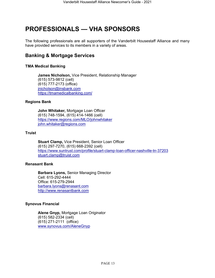# <span id="page-12-0"></span>**PROFESSIONALS — VHA SPONSORS**

The following professionals are all supporters of the Vanderbilt Housestaff Alliance and many have provided services to its members in a variety of areas.

### <span id="page-12-1"></span>**Banking & Mortgage Services**

### **TMA Medical Banking**

**James Nicholson,** Vice President, Relationship Manager (615) 573-9812 (cell) (615) 777-2173 (office) jnicholson@insbank.com <https://tmamedicalbanking.com/>

### **Regions Bank**

**John Whitaker,** Mortgage Loan Officer (615) 748-1594, (615) 414-1466 (cell) <https://www.regions.com/MLO/johnwhitaker> [john.whitaker@regions.com](mailto:john.whitaker@regions.com)

### **Truist**

**Stuart Clamp,** Vice President, Senior Loan Officer (615) 297-7270, (615) 668-2392 (cell) [https://www.suntrust.com/profile/stuart-clamp-loan-officer-nashville-tn-37203](https://www.suntrust.com/profile/stuart-clamp-loan-officer-nashville-tn-37203%09) stuart.clamp@truist.com

#### **Renasant Bank**

**Barbara Lyons,** Senior Managing Director Cell: 615-292-4444 Office: 615-279-2944 barbara.lyons@renasant.com [http://www.renasantbank.com](http://www.renasantbank.com/)

### **Synovus Financial**

**Alene Gnyp,** Mortgage Loan Originator (615) 582-2334 (cell) (615) 271-2111 (office) [www.synovus.com/AleneGnyp](https://www.synovus.com/AleneGnyp)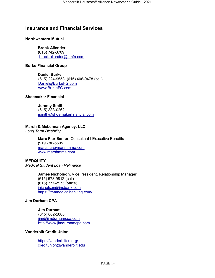### <span id="page-13-0"></span>**Insurance and Financial Services**

### **Northwestern Mutual**

### **Brock Allender**

(615) 742-8709 brock.allender@nmfn.com

### **Burke Financial Group**

**Daniel Burke** (615) 224-9553, (615) 406-9478 (cell) [Daniel@BurkeFG.com](mailto:Daniel@BurkeFG.com) [www.BurkeFG.com](http://www.burkefg.com/)

### **Shoemaker Financial**

### **Jeremy Smith**

 (615) 383-0262 [jsmith@shoemakerfinancial.com](mailto:jsmith@shoemakerfinancial.com)

### **Marsh & McLennan Agency, LLC**

*Long Term Disability*

**Marc Flur Senior,** Consultant I Executive Benefits (919 [786-5605](tel:+%20919-786-5605) [marc.flur@marshmma.com](mailto:marc.flur@marshmma.com) [www.marshmma.com](http://www.marshmma.com/)

**MEDQUITY** *Medical Student Loan Refinance*

> **James Nicholson,** Vice President, Relationship Manager (615) 573-9812 (cell) (615) 777-2173 (office) jnicholson@insbank.com <https://tmamedicalbanking.com/>

### **Jim Durham CPA**

 **Jim Durham** (615) 662-2808 [jim@jimdurhamcpa.com](mailto:jim@jimdurhamcpa.com) [http://www.jimdurhamcpa.com](http://www.jimdurhamcpa.com/)

### **Vanderbilt Credit Union**

<https://vanderbiltcu.org/> creditunion@vanderbilt.edu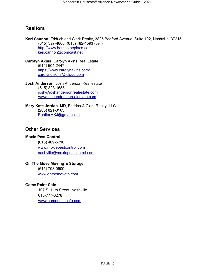### <span id="page-14-0"></span>**Realtors**

**Keri Cannon**, Fridrich and Clark Realty, 3825 Bedford Avenue, Suite 102, Nashville, 37215 (615) 327-4800, (615) 482-1593 (cell) [http://www.homestheplace.com](http://www.homestheplace.com/) keri.cannon@comcast.net

**Carolyn Akins**, Carolyn Akins Real Estate (615) 504-2447 <https://www.carolynakins.com/> [carolyndakins@icloud.com](mailto:carolyndakins@icloud.com)

**Josh Anderson**, Josh Anderson Real estate (615) 823-1555 [josh@joshandersonrealestate.com](mailto:josh@joshandersonrealestate.com) www.joshandersonrealestate.com

### **Mary Kate Jordan, MD**, Fridrich & Clark Realty, LLC (205) 821-0165 [RealtorMKJ@gmail.com](mailto:RealtorMKJ@gmail.com)

### <span id="page-14-1"></span>**Other Services**

### **Moxie Pest Control**

(615) 469-5710 [www.moxiepestcontrol.com](http://www.moxiepestcontrol.com/) [nashville@moxiepestcontrol.com](mailto:nashville@moxiepestcontrol.com)

### **On The Move Moving & Storage**

(615) 793-0500 [www.onthemovetn.com](http://www.onthemovetn.com/)

### **Game Point Cafe**

107 S. 11th Street, Nashville 615-777-3278 www.gamepointcafe.com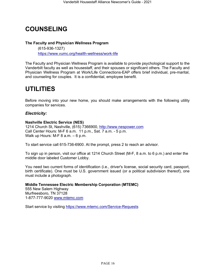# **COUNSELING**

### **The Faculty and Physician Wellness Program**

(615-936-1327) <https://www.vumc.org/health-wellness/work-life>

The Faculty and Physician Wellness Program is available to provide psychological support to the Vanderbilt faculty as well as housestaff, and their spouses or significant others. The Faculty and Physician Wellness Program at Work/Life Connections-EAP offers brief individual, pre-marital, and counseling for couples. It is a confidential, employee benefit.

# <span id="page-15-0"></span>**UTILITIES**

Before moving into your new home, you should make arrangements with the following utility companies for services.

### *Electricity:*

### **Nashville Electric Service (NES)**

1214 Church St, Nashville, (615) 7366900, [http://www.nespower.com](http://www.nespower.com/) Call Center Hours: M-F 6 a.m. 11 p.m., Sat. 7 a.m. - 5 p.m. Walk up Hours: M-F 8 a.m. – 6 p.m.

To start service call 615-736-6900. At the prompt, press 2 to reach an advisor.

To sign up in person, visit our office at 1214 Church Street (M-F, 8 a.m. to 6 p.m.) and enter the middle door labeled Customer Lobby.

You need two current forms of identification (i.e., driver's license, social security card, passport, birth certificate). One must be U.S. government issued (or a political subdivision thereof), one must include a photograph.

**Middle Tennessee Electric Membership Corporation (MTEMC)** 555 New Salem Highway Murfreesboro, TN 37128 1-877-777-9020 [www.mtemc.com](http://www.mtemc.com/)

Start service by visiting<https://www.mtemc.com/Service-Requests>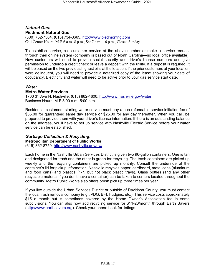### *Natural Gas:* **Piedmont Natural Gas**

(800) 752-7504, (615) 734-0665, [http://www.piedmontng.com](http://www.piedmontng.com/) Call Center Hours: M-F 6 a.m.-8 p.m., Sat 7 a.m. – 6 p.m., Closed Sunday

To establish service, call customer service at the above number or make a service request through their online system (company is based out of North Carolina—no local office available). New customers will need to provide social security and driver's license numbers and give permission to undergo a credit check or leave a deposit with the utility. If a deposit is required, it will be based on the two previous highest bills at the location. If the prior customers at your location were delinquent, you will need to provide a notarized copy of the lease showing your date of occupancy. Electricity and water will need to be active prior to your gas service start date.

### *Water:*

#### **Metro Water Services**

1700 3rd Ave N, Nashville, (615) 862-4600,<http://www.nashville.gov/water> Business Hours: M-F 8:00 a.m.-5:00 p.m.

Residential customers starting water service must pay a non-refundable service initiation fee of \$35.00 for guaranteed same day service or \$25.00 for any day thereafter. When you call, be prepared to provide them with your driver's license information. If there is an outstanding balance on the address, you'll have to set up service with Nashville Electric Service before your water service can be established.

### *Garbage Collection & Recycling:*

**Metropolitan Department of Public Works**

[\(615\) 862-8750, http://www.nashville.gov/pw/](http://www.nashville.gov/pw/)

Each home in the Nashville Urban Services District is given two 96-gallon containers. One is tan and designated for trash and the other is green for recycling. The trash containers are picked up weekly and the recycling containers are picked up monthly. Consult the underside of the container's lid for pickup information. Nashville recycles paper, cardboard, metal cans (aluminum and food cans) and plastics (1-7, but not black plastic trays). Glass bottles (and any other recyclable material if you don't have a container) can be taken to centers located throughout the community. Metro Public Works also offers brush pick up three times per year.

If you live outside the Urban Services District or outside of Davidson County, you must contact the local trash removal company (e.g.: PDQ, BFI, Hudgins, etc.). This service costs approximately \$15 a month but is sometimes covered by the Home Owner's Association fee in some subdivisions. You can also now add recycling service for \$11-20/month through Earth Savers [\(http://www.earthsavers.org\)](http://www.earthsavers.org/). Check your phone book for listings.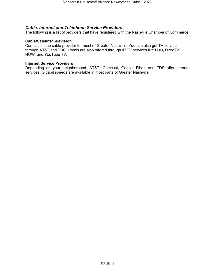### *Cable, Internet and Telephone Service Providers*

The following is a list of providers that have registered with the Nashville Chamber of Commerce.

#### **Cable/Satellite/Television**

Comcast is the cable provider for most of Greater Nashville. You can also get TV service through AT&T and TDS. Locals are also offered through IP TV services like Hulu, DirecTV NOW, and YouTube TV.

#### **Internet Service Providers**

Depending on your neighborhood, AT&T, Comcast, Google Fiber, and TDS offer internet services. Gigabit speeds are available in most parts of Greater Nashville.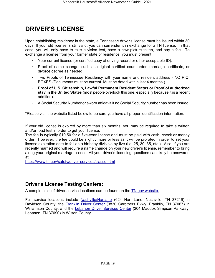# <span id="page-18-0"></span>**DRIVER'S LICENSE**

Upon establishing residency in the state, a Tennessee driver's license must be issued within 30 days. If your old license is still valid, you can surrender it in exchange for a TN license. In that case, you will only have to take a vision test, have a new picture taken, and pay a fee. To exchange a license from your former state of residence, you must present:

- Your current license (or certified copy of driving record or other acceptable ID).
- Proof of name change, such as original certified court order, marriage certificate, or divorce decree as needed.
- Two Proofs of Tennessee Residency with your name and resident address NO P.O. BOXES (Documents must be current. Must be dated within last 4 months.)
- **Proof of U.S. Citizenship, Lawful Permanent Resident Status or Proof of authorized stay in the United States** (most people overlook this one, especially because it is a recent addition).
- A Social Security Number or sworn affidavit if no Social Security number has been issued.

\*Please visit the website listed below to be sure you have all proper identification information.

If your old license is expired by more than six months, you may be required to take a written and/or road test in order to get your license.

The fee is typically \$19.50 for a five-year license and must be paid with cash, check or money order. However, the fee could be slightly more or less as it will be prorated in order to set your license expiration date to fall on a birthday divisible by five (i.e. 25, 30, 35, etc.). Also, if you are recently married and will require a name change on your new driver's license, remember to bring along your original marriage license. All your driver's licensing questions can likely be answered at

<https://www.tn.gov/safety/driver-services/classd.html>

### <span id="page-18-1"></span>**Driver's License Testing Centers:**

A complete list of driver service locations can be found on the [TN.gov website.](https://www.tn.gov/safety/driver-services/locations/dllocationcnty.html)

Full service locations include [Nashville/Hartlane](https://www.tn.gov/content/tn/safety/driver-services/locations/davidson.html) (624 Hart Lane, Nashville, TN 37216) in Davidson County; the [Franklin Driver Center](https://www.tn.gov/content/tn/safety/driver-services/locations/williamson.html) (3830 Carothers Pkwy, Franklin, TN 37067) in Williamson County; and the [Lebanon Driver Services Center](https://www.tn.gov/content/tn/safety/driver-services/locations/wilson.html) (204 Maddox Simpson Parkway, Lebanon, TN 37090) in Wilson County.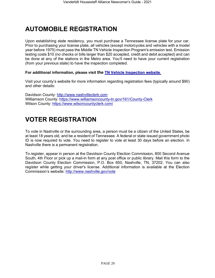# <span id="page-19-0"></span>**AUTOMOBILE REGISTRATION**

Upon establishing state residency, you must purchase a Tennessee license plate for your car. Prior to purchasing your license plate, all vehicles (except motorcycles and vehicles with a model year before 1975) must pass the Middle TN Vehicle Inspection Program's emission test. Emission testing costs \$10 (no checks or bills larger than \$20 accepted, credit and debit accepted) and can be done at any of the stations in the Metro area. You'll need to have your current registration (from your previous state) to have the inspection completed.

### **[Fo](http://www.nashvillevip.org/)r additional information, please visit the [TN Vehicle Inspection website](https://www.tn.gov/environment/program-areas/apc-air-pollution-control-home/vehicle-inspection-program.html)**[.](http://www.nashvillevip.org/)

Visit your county's website for more information regarding registration fees (typically around \$90) and other details:

Davidson County: [http://www.nashvilleclerk.com](http://www.nashvilleclerk.com/) Williamson County:<https://www.williamsoncounty-tn.gov/161/County-Clerk> Wilson County:<https://www.wilsoncountyclerk.com/>

# <span id="page-19-1"></span>**VOTER REGISTRATION**

To vote in Nashville or the surrounding area, a person must be a citizen of the United States, be at least 18 years old, and be a resident of Tennessee. A federal or state issued government photo ID is now required to vote. You need to register to vote at least 30 days before an election. In Nashville there is a permanent registration.

To register, appear in person at the Davidson County Election Commission, 800 Second Avenue South, 4th Floor or pick up a mail-in form at any post office or public library. Mail this form to the Davidson County Election Commission, P.O. Box 650, Nashville, TN, 37202. You can also register while getting your driver's license. Additional information is available at the Election Commission's website:<http://www.nashville.gov/vote>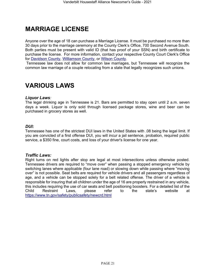# <span id="page-20-0"></span>**MARRIAGE LICENSE**

Anyone over the age of 18 can purchase a Marriage License. It must be purchased no more than 30 days prior to the marriage ceremony at the County Clerk's Office, 700 Second Avenue South. Both parties must be present with valid ID (that has proof of your SSN) and birth certificate to purchase the license. For more information, contact your respective County Court Clerk's Office for [Davidson County,](http://www.nashvilleclerk.com/living/marriage-license/) [Williamson County,](https://www.williamsoncounty-tn.gov/165/Licenses-Permits) or [Wilson County.](https://www.wilsoncountyclerk.com/marriage-licenses/)

Tennessee law does not allow for common law marriages, but Tennessee will recognize the [co](http://www.nashvilleclerk.com/living/marriage-license/)mmon law marriage of a couple relocating from a state that legally recognizes such unions.

# <span id="page-20-1"></span>**VARIOUS LAWS**

### *Liquor Laws:*

The legal drinking age in Tennessee is 21. Bars are permitted to stay open until 2 a.m. seven days a week. Liquor is only sold through licensed package stores, wine and beer can be purchased in grocery stores as well.

### *DUI:*

Tennessee has one of the strictest DUI laws in the United States with .08 being the legal limit. If you are convicted of a first offense DUI, you will incur a jail sentence, probation, required public service, a \$350 fine, court costs, and loss of your driver's license for one year.

#### *Traffic Laws:*

Right turns on red lights after stop are legal at most intersections unless otherwise posted. Tennessee drivers are required to "move over" when passing a stopped emergency vehicle by switching lanes where applicable (four lane road) or slowing down while passing where "moving over" is not possible. Seat belts are required for vehicle drivers and all passengers regardless of age, and a vehicle can be stopped solely for a belt related offense. The driver of a vehicle is responsible for insuring that all children under the age of 16 are properly restrained in any vehicle, this includes requiring the use of car seats and belt positioning boosters. For a detailed list of the Child Restraint Laws, please refer to the state's website at <https://www.tn.gov/safety/publicsafety/newcrd.html>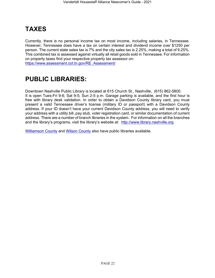# <span id="page-21-0"></span>**TAXES**

Currently, there is no personal income tax on most income, including salaries, in Tennessee. However, Tennessee does have a tax on certain interest and dividend income over \$1250 per person. The current state sales tax is 7% and the city sales tax is 2.25%, making a total of 9.25%. This combined tax is assessed against virtually all retail goods sold in Tennessee. For information on property taxes find your respective property tax assessor on: [https://www.assessment.cot.tn.gov/RE\\_Assessment/](https://www.assessment.cot.tn.gov/RE_Assessment/)

# <span id="page-21-1"></span>**PUBLIC LIBRARIES:**

Downtown Nashville Public Library is located at 615 Church St., Nashville, (615) 862-5800. It is open Tues-Fri 9-6; Sat 9-5; Sun 2-5 p.m. Garage parking is available, and the first hour is free with library desk validation. In order to obtain a Davidson County library card, you must present a valid Tennessee driver's license (military ID or passport) with a Davidson County address. If your ID doesn't have your current Davidson County address, you will need to verify your address with a utility bill, pay stub, voter registration card, or similar documentation of current address. There are a number of branch libraries in the system. For information on all the branches and the library's programs, visit the library's website at: [http://www.library.nashville.org](http://www.library.nashville.org/)

[Williamson County](http://lib.williamson-tn.org/) and [Wilson County](http://www.youseemore.com/mtjuliet/)also have public libraries available.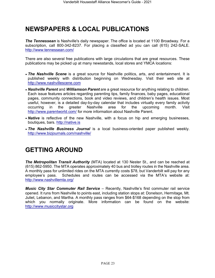# <span id="page-22-0"></span>**NEWSPAPERS & LOCAL PUBLICATIONS**

**The Tennessean** is Nashville's daily newspaper. The office is located at 1100 Broadway. For a subscription, call 800-342-8237. For placing a classified ad you can call (615) 242-SALE. <http://www.tennessean.com/>

There are also several free publications with large circulations that are great resources. These publications may be picked up at many newsstands, local stores and YMCA locations:

- *The Nashville Scene* is a great source for Nashville politics, arts, and entertainment. It is published weekly with distribution beginning on Wednesday. Visit their web site at [http://www.nashvillescene.com](http://www.nashvillescene.com/)
- *• Nashville Parent* and *Williamson Parent* are a great resource for anything relating to children. Each issue features articles regarding parenting tips, family finances, baby pages, educational pages, community connections, book and video reviews, and children's health issues. Most useful, however, is a detailed day-by-day calendar that includes virtually every family activity occurring in the greater Nashville area for the upcoming month. Visit <http://www.parentworld.com/> for more information about Nashville Parent.
- *• Native* is reflective of the new Nashville, with a focus on hip and emerging businesses, boutiques, bars. [http://native.is](http://native.is/)
- *• The Nashville Business Journal* is a local business-oriented paper published weekly. <http://www.bizjournals.com/nashville/>

# <span id="page-22-1"></span>**GETTING AROUND**

*The Metropolitan Transit Authority* (MTA) located at 130 Nester St., and can be reached at (615) 862-5950. The MTA operates approximately 40 bus and trolley routes in the Nashville area. A monthly pass for unlimited rides on the MTA currently costs \$78, but Vanderbilt will pay for any employee's pass. Schedules and routes can be accessed via the MTA's website at: <http://www.nashvillemta.org/>

*Music City Star Commuter Rail Service* – Recently, Nashville's first commuter rail service opened. It runs from Nashville to points east, including station stops at: Donelson, Hermitage, Mt. Juliet, Lebanon, and Martha. A monthly pass ranges from \$64-\$168 depending on the stop from which you normally originate. More information can be found on the website: [http://www.musiccitystar.org](http://www.musiccitystar.org/)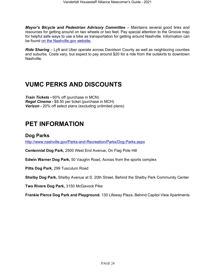*Mayor's Bicycle and Pedestrian Advisory Committee* – Maintains several good links and resources for getting around on two wheels or two feet. Pay special attention to the Groove map for helpful safe ways to use a bike as transportation for getting around Nashville. Information can be found [on the Nashville.gov website.](https://www.nashville.gov/Government/Boards-and-Committees/Committee-Information/ID/124/Bicycle-and-Pedestrian-Advisory-Committee.aspx)

*Ride Sharing* – Lyft and Uber operate across Davidson County as well as neighboring counties and suburbs. Costs vary, but expect to pay around \$20 for a ride from the outskirts to downtown Nashville[.](http://www.nashville.gov/Mayors-Office/Priorities/Health/Links-and-Resources)

# <span id="page-23-0"></span>**VUMC PERKS AND DISCOUNTS**

*Train Tickets -* 60% off (purchase in MCN) *Regal Cinema -* \$8.50 per ticket (purchase in MCH) *Verizon -* 20% off select plans (excluding unlimited plans)

# <span id="page-23-1"></span>**PET INFORMATION**

### <span id="page-23-2"></span>**Dog Parks**

<http://www.nashville.gov/Parks-and-Recreation/Parks/Dog-Parks.aspx>

**Centennial Dog Park,** 2500 West End Avenue, On Flag Pole Hill

**Edwin Warner Dog Park,** 50 Vaughn Road, Across from the sports complex

**Pitts Dog Park,** 299 Tusculum Road

**Shelby Dog Park,** Shelby Avenue at S. 20th Street, Behind the Shelby Park Community Center

**Two Rivers Dog Park,** 3150 McGavock Pike

**Frankie Pierce Dog Park and Playground**, 130 Lifeway Plaza, Behind Capitol View Apartments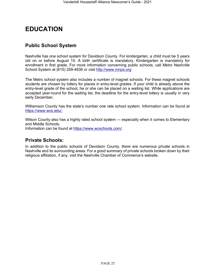# <span id="page-24-0"></span>**EDUCATION**

### <span id="page-24-1"></span>**Public School System**

Nashville has one school system for Davidson County. For kindergarten, a child must be 5 years old on or before August 15. A birth certificate is mandatory. Kindergarten is mandatory for enrollment in first grade. For more information concerning public schools, call Metro Nashville [Sc](http://www.mnps.org/)hool System at (615) 259-4636 or visit [http://www.mnps.org](http://www.mnps.org/)

The Metro school system also includes a number of magnet schools. For these magnet schools students are chosen by lottery for places in entry-level grades. If your child is already above the entry-level grade of the school, he or she can be placed on a waiting list. While applications are accepted year-round for the waiting list, the deadline for the entry-level lottery is usually in very early December.

Williamson County has the state's number one rate school system. Information can be found at [https://www.wcs.edu/.](https://www.wcs.edu/)

Wilson County also has a highly rated school system — especially when it comes to Elementary and Middle Schools.

Information can be found at [https://www.wcschools.com/.](https://www.wcschools.com/)

### <span id="page-24-2"></span>**Private Schools:**

<span id="page-24-3"></span>In addition to the public schools of Davidson County, there are numerous private schools in Nashville and its surrounding areas. For a good summary of private schools broken down by their religious affiliation, if any, visit the Nashville Chamber of Commerce's website.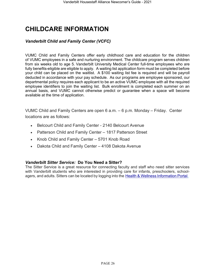# **CHILDCARE INFORMATION**

### *Vanderbilt Child and Family Center (VCFC)*

VUMC Child and Family Centers offer early childhood care and education for the children of VUMC employees in a safe and nurturing environment. The childcare program serves children from six weeks old to age 5. Vanderbilt University Medical Center full-time employees who are fully benefits-eligible are eligible to apply. A waiting list application form must be completed before your child can be placed on the waitlist. A \$100 waiting list fee is required and will be payroll deducted in accordance with your pay schedule. As our programs are employee sponsored, our departmental policy requires each applicant to be an active VUMC employee with all the required employee identifiers to join the waiting list. Bulk enrollment is completed each summer on an annual basis, and VUMC cannot otherwise predict or guarantee when a space will become available at the time of application.

VUMC Child and Family Centers are open 6 a.m. – 6 p.m. Monday – Friday. Center locations are as follows:

- Belcourt Child and Family Center 2140 Belcourt Avenue
- Patterson Child and Family Center 1817 Patterson Street
- Knob Child and Family Center 5701 Knob Road
- Dakota Child and Family Center 4108 Dakota Avenue

### *Vanderbilt Sitter Service:* **Do You Need a Sitter?**

The Sitter Service is a great resource for connecting faculty and staff who need sitter services with Vanderbilt students who are interested in providing care for infants, preschoolers, schoolagers, and adults. Sitters can be located by logging into the [Health & Wellness Information Portal.](https://nam12.safelinks.protection.outlook.com/?url=https%3A%2F%2Fwww.vumc.org%2Fhealth-wellness%2Fql%2Fsitter_options_for_children&data=04%7C01%7Cchristina.alsup%40vumc.org%7C19e952df7b164be9a5cd08d8e717c93b%7Cef57503014244ed8b83c12c533d879ab%7C0%7C0%7C637513436660977335%7CUnknown%7CTWFpbGZsb3d8eyJWIjoiMC4wLjAwMDAiLCJQIjoiV2luMzIiLCJBTiI6Ik1haWwiLCJXVCI6Mn0%3D%7C1000&sdata=s2%2FLzsi3qQVpqvs%2By2gnGpV%2BAOFF4h%2BuJRAfm%2Bjc6bU%3D&reserved=0)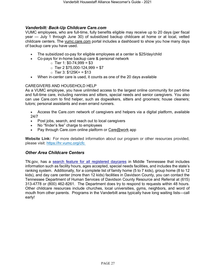### *Vanderbilt: Back-Up Childcare Care.co[m](http://healthandwellness.vanderbilt.edu/news/2011/09/parents-in-a-pinch-back-up-childcare/)*

VUMC employees, who are full-time, fully benefits eligible may receive up to 20 days (per fiscal year — July 1 through June 30) of subsidized backup childcare at home or at local, vetted childcare centers. The [vumc.care.com](http://vumc.care.com/) portal includes a dashboard to show you how many days of backup care you have used.

- The subsidized co-pay for eligible employees at a center is \$25/day/child
- Co-pays for in-home backup care & personal network
	- $\circ$  Tier 1: \$0-74,999 = \$3
	- $\circ$  Tier 2 \$75,000-124,999 = \$7
	- $\circ$  Tier 3: \$125K+ = \$13
- When in-center care is used, it counts as one of the 20 days available

### CAREGIVERS AND HOUSEHOLD HELP

As a VUMC employee, you have unlimited access to the largest online community for part-time and full-time care, including nannies and sitters, special needs and senior caregivers. You also can use Care.com to find helper, such as dogwalkers, sitters and groomers; house cleaners; tutors; personal assistants and even errand runners.

• Access the Care.com network of caregivers and helpers via a digital platform, available 24/7

- Post jobs, search, and reach out to local caregivers
- No "finder's fee" charge to employees
- Pay through Care.com online platform or [Care@work](mailto:Care@work) app

**Website Link:** For more detailed information about our program or other resources provided, please visit: [https://hr.vumc.org/cfc](https://nam12.safelinks.protection.outlook.com/?url=https%3A%2F%2Fhr.vumc.org%2Fcfc&data=04%7C01%7Cchristina.alsup%40vumc.org%7Cfb8d2b91ef0f4df7a04a08d8e7de273d%7Cef57503014244ed8b83c12c533d879ab%7C0%7C0%7C637514288618178553%7CUnknown%7CTWFpbGZsb3d8eyJWIjoiMC4wLjAwMDAiLCJQIjoiV2luMzIiLCJBTiI6Ik1haWwiLCJXVCI6Mn0%3D%7C1000&sdata=7Pz8qp4TKdffci3e9w1%2F2blLMutV4m5nb%2FsRVvVA0FY%3D&reserved=0)

### *Other Area Childcare Centers*

TN.gov, has a [search feature for all registered daycares](https://www.tn.gov/humanservices/for-families/child-care-services/find-child-care.html) in Middle Tennessee that includes information such as facility hours, ages accepted, special needs facilities, and includes the state's ranking system. Additionally, for a complete list of family home (5 to 7 kids), group home (8 to 12 kids), and day care center (more than 12 kids) facilities in Davidson County, you can contact the Tennessee Department of Human Services of Davidson County Resource and Referral at (615) 313-4778 or (800) 462-8261. The Department does try to respond to requests within 48 hours. Other childcare resources include churches, local universities, gyms, neighbors, and word of mouth from other parents. Programs in the Vanderbilt area typically have long waiting lists—call early!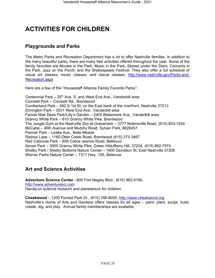# <span id="page-27-0"></span>**ACTIVITIES FOR CHILDREN**

### <span id="page-27-1"></span>**Playgrounds and Parks**

The Metro Parks and Recreation Department has a lot to offer Nashville families. In addition to the many beautiful parks, there are many free activities offered throughout the year. Some of the family favorites are Movies in the Park, Music in the Park, Stories under the Stars, Concerts in the Park, Jazz on the Porch, and the Shakespeare Festival. They also offer a full schedule of visual art classes, music classes, and dance classes. [http://www.nashville.gov/Parks-and-](http://www.nashville.gov/Parks-and-Recreation.aspx)[Recreation.aspx](http://www.nashville.gov/Parks-and-Recreation.aspx) 

Here are a few of the "Housestaff Alliance Family Favorite Parks":

Centennial Park – 25<sup>th</sup> Ave. S. and West End Ave., Vanderbilt area Crockett Park – Crockett Rd., Brentwood Cumberland Park – 592 S 1st St, on the East bank of the riverfront, Nashville 37213 Elmington Park – 3531 West End Ave., Vanderbilt area Fannie Mae Dees Park/Lilly's Garden – 2400 Blakemore Ave., Vanderbilt area Granny White Park – 610 Granny White Pike, Brentwood The Jungle Gym at the Nashville Zoo at Grassmere – 3777 Nolensville Road, (615) 833-1534 McCabe – 46th Avenue and Murphy Road, Sylvan Park, 8628457 Parmer Park – Leake Ave., Belle Meade Radnor Lake – 1160 Otter Creek Road, Brentwood (615) 373-3467 Red Caboose Park – 656 Colice Jeanne Road, Bellevue Sevier Park – 3000 Granny White Pike, Green Hills/Berry Hill, 37204, (615) 862-7974 Shelby Park / Shelby Bottoms Nature Center – 1900 Davidson St, East Nashville 37206 Warner Parks Nature Center – 7311 Hwy. 100, Bellevue

### <span id="page-27-2"></span>**Art and Science Activities**

**Adventure Science Center** –800 Fort Negley Blvd., (615) 862-5160, [http://www.adventuresci.com](http://www.adventuresci.com/) Hands-on science museum and planetarium for children.

**Cheekwood** – 1200 Forrest Park Dr., (615) 356-8000, [http://www.cheekwood.org](http://www.cheekwood.org/) Nashville's Home of Arts and Gardens offers classes for all ages – paint, plant, sculpt, build, create, dig, and play. Annual family memberships are available.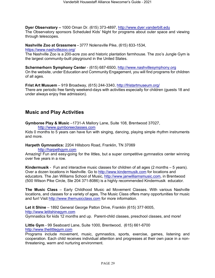**Dyer Observatory** *–* 1000 Oman Dr. (615) 373-4897, [http://www.dyer.vanderbilt.edu](http://www.dyer.vanderbilt.edu/) The Observatory sponsors Scheduled Kids' Night for programs about outer space and viewing through telescopes.

**Nashville Zoo at Grassmere -** 3777 Nolensville Pike, (615) 833-1534,

<https://www.nashvillezoo.org/>

The Nashville Zoo is a 200-acre zoo and historic plantation farmhouse. The zoo's Jungle Gym is the largest community-built playground in the United States.

**Schermerhorn Symphony Center** - (615) 687-6500, [http://www.nashvillesymphony.org](http://www.nashvillesymphony.org/) On the website, under Education and Community Engagement, you will find programs for children of all ages.

**Frist Art Musuem** – 919 Broadway, (615) 244-3340,<http://fristartmuseum.org/> There are periodic free family weekend-days with activities especially for children (guests 18 and under always enjoy free admission).

### <span id="page-28-0"></span>**Music and Play Activities**

**Gymboree Play & Music** –1731-A Mallory Lane, Suite 108, Brentwood 37027,

[http://www.gymboreeclasses.com](http://www.gymboreeclasses.com/)

Kids 0 months to 5 years can have fun with singing, dancing, playing simple rhythm instruments and more.

**Harpeth Gymnastics:** 2204 Hillsboro Road, Franklin, TN 3706[9](http://harpethgym.com/)

[http://harpethgym.com](http://harpethgym.com/)

Amazing! Fun and easy-going for the littles, but a super competitive gymnastics center winning over five years in a row.

**Kindermusik** - Fun and interactive music classes for children of all ages (2 months – 5 years). Over a dozen locations in Nashville. Go to [http://www.kindermusik.com](http://www.kindermusik.com/) for locations and educators. The Jan Williams School of Music, [http://www.janwilliamsmusic.com,](http://www.janwilliamsmusic.com/) in Brentwood (500 Wilson Pike Circle, Ste 204 371-8086) is a highly recommended Kindermusik educator.

**The Music Class** – Early Childhood Music ad Movement Classes. With various Nashville locations, and classes for a variety of ages, The Music Class offers many opportunities for music and fun! Visit [http://www.themusicclass.com](http://www.themusicclass.com/) for more information.

**Let it Shine** – 1892 General George Patton Drive, Franklin (615) 377-9005, [http://www.letitshinegym.com](http://www.letitshinegym.com/) Gymnastics for kids 12 months and up. Parent-child classes, preschool classes, and more!

**Little Gym** - 99 Seaboard Lane, Suite 1000, Brentwood, (615) 661-6700 [http://www.thelittlegym.com](http://www.thelittlegym.com/)

Programs include movement, music, gymnastics, sports, exercise, games, listening and cooperation. Each child receives individual attention and progresses at their own pace in a nonthreatening, warm and nurturing environment.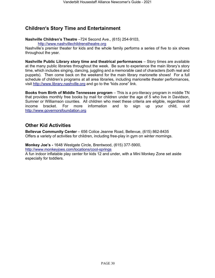### <span id="page-29-0"></span>**Children's Story Time and Entertainment**

**Nashville Children's Theatre** –724 Second Ave., (615) 254-9103,

[http://www.nashvillechildrenstheatre.org](http://www.nashvillechildrenstheatre.org/)

Nashville's premier theater for kids and the whole family performs a series of five to six shows throughout the year.

**Nashville Public Library story time and theatrical performances** – Story times are available at the many public libraries throughout the week. Be sure to experience the main library's story time, which includes singing, dancing, juggling and a memorable cast of characters (both real and puppets). Then come back on the weekend for the main library marionette shows! For a full schedule of children's programs at all area libraries, including marionette theater performances, visit [http://www.library.nashville.org](http://www.library.nashville.org/) and go to the "kids zone" link.

**Books from Birth of Middle Tennessee program** – This is a pro-literacy program in middle TN that provides monthly free books by mail for children under the age of 5 who live in Davidson, Sumner or Williamson counties. All children who meet these criteria are eligible, regardless of income bracket. For more information and to sign up your child, visit [http://www.governorsfoundation.org](http://www.governorsfoundation.org/)

### <span id="page-29-1"></span>**Other Kid Activities**

**Bellevue Community Center** – 656 Colice Jeanne Road, Bellevue, (615) 862-8435 Offers a variety of activities for children, including free-play in gym on winter mornings.

**Monkey Joe's -** 1648 Westgate Circle, Brentwood, (615) 377-5900, <http://www.monkeyjoes.com/locations/cool-springs>

A fun indoor inflatable play center for kids 12 and under, with a Mini Monkey Zone set aside especially for toddlers.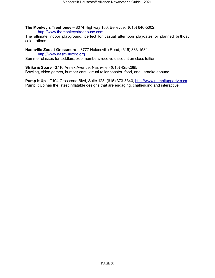**The Monkey's Treehouse** *–* 8074 Highway 100, Bellevue, (615) 646-5002, [http://www.themonkeystreehouse.com](http://www.themonkeystreehouse.com/)

The ultimate indoor playground, perfect for casual afternoon playdates or planned birthday celebrations.

**Nashville Zoo at Grassmere** – 3777 Nolensville Road, (615) 833-1534,

[http://www.nashvillezoo.org](http://www.nashvillezoo.org/)

Summer classes for toddlers; zoo members receive discount on class tuition.

**Strike & Spare** –3710 Annex Avenue, Nashville - (615) 425-2695 Bowling, video games, bumper cars, virtual roller coaster, food, and karaoke abound.

**Pump It Up** *–* 7104 Crossroad Blvd, Suite 128, (615) 373-8340, [http://www.pumpitupparty.com](http://www.pumpitupparty.com/) Pump It Up has the latest inflatable designs that are engaging, challenging and interactive.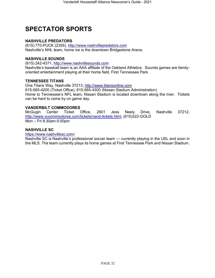# <span id="page-31-0"></span>**SPECTATOR SPORTS**

### **NASHVILLE PREDATORS**

(615) 770-PUCK (2355), [http://www.nashvillepredators.com](http://www.nashvillepredators.com/) Nashville's NHL team, home ice is the downtown Bridgestone Arena.

### **NASHVILLE SOUNDS**

(615) 242-4371, [http://www.nashvillesounds.com](http://www.nashvillesounds.com/)

Nashville's baseball team is an AAA affiliate of the Oakland Athletics. Sounds games are familyoriented entertainment playing at their home field, First Tennessee Park.

### **TENNESSEE TITANS**

One Titans Way, Nashville 37213, [http://www.titansonline.com](http://www.titansonline.com/) 615-565-4200 (Ticket Office), 615-565-4300 (Nissan Stadium Administration) Home to Tennessee's NFL team, Nissan Stadium is located downtown along the river. Tickets can be hard to come by on game day.

### **VANDERBILT COMMODORES**

McGugin Center Ticket Office, 2601 Jess Neely Drive, Nashville 37212, [http://www.vucommodores.com/tickets/vand-tickets.html,](http://www.vucommodores.com/tickets/vand-tickets.html) (615)322-GOLD Mon – Fri 8:30am-5:00pm

### **NASHVILLE SC**

<https://www.nashvillesc.com/>

Nashville SC is Nashville's professional soccer team — currently playing in the USL and soon in the MLS. The team currently plays its home games at First Tennessee Park and Nissan Stadium.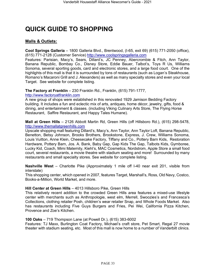# <span id="page-32-0"></span>**QUICK GUIDE TO SHOPPING**

### **Malls & Outlets:**

**Cool Springs Galleria** – 1800 Galleria Blvd., Brentwood, (I-65, exit 69) (615) 771-2050 (office), (615) 771-2128 (Customer Service) [http://www.coolspringsgalleria.com](http://www.coolspringsgalleria.com/)

Features: Parisian, Macy's, Sears, Dillard's, JC Penney, Abercrombie & Fitch, Ann Taylor, Banana Republic, Bombay Co., Disney Store, Eddie Bauer, Talbot's, Toys R Us, Williams Sonoma, several sporting goods, card and electronic stores, and a large food court. One of the highlights of this mall is that it is surrounded by tons of restaurants (such as Logan's Steakhouse, Romano's Macaroni Grill and J. Alexanders) as well as many specialty stores and even your local Target. See website for complete listing.

**The Factory at Franklin** – 230 Franklin Rd., Franklin, (615) 791-1777,

[http://www.factoryatfranklin.com](http://www.factoryatfranklin.com/)

A new group of shops were established in this renovated 1929 Jamison Bedding Factory building. It includes a fun and eclectic mix of arts, antiques, home décor, jewelry, gifts, food & dining, and entertainment & classes. (including Viking Culinary Arts Store, The Flying Horse Restaurant, Saffire Restaurant, and Happy Tales Humane).

**Mall at Green Hills** – 2126 Abbott Martin Rd, Green Hills (off Hillsboro Rd.), (615) 298-5478, [http://www.themallatgreenhills.com](http://www.themallatgreenhills.com/)

Upscale shopping mall featuring Dillard's, Macy's, Ann Taylor, Ann Taylor Loft, Banana Republic, Benetton, Betsy Johnson, Brooks Brothers, Brookstone, Express, J. Crew, Williams Sonoma, Louis Vuitton, Anne Klein, Cheesecake Factory, Tiffany and Co., Pottery Barn Kids, Restoration Hardware, Pottery Barn, Jos. A. Bank, Baby Gap, Gap Kids The Gap, Talbots Kids, Gymboree, Lucky Kid, Coach, Mimi Maternity, Kiehl's, MAC Cosmetics, Nordstrom, Apple Store a small food court, several restaurants, a movie theatre with stadium seating and more! Surrounded by many restaurants and small specialty stores. See website for complete listing.

**Nashville West** – Charlotte Pike (Approximately 1 mile off I-40 near exit 201, visible from interstate)

This shopping center, which opened in 2007, features Target, Marshall's, Ross, Old Navy, Costco, Books-a-Million, World Market, and more.

### **Hill Center at Green Hills** – 4013 Hillsboro Pike, Green Hills

This relatively recent addition to the crowded Green Hills area features a mixed-use lifestyle center with merchants such as Anthropologie, west elm, Merrell, Swoozies's and Francesca's Collections, clothing retailer Posh, children's wear retailer Snap, and Whole Foods Market. Also has restaurants including Five Guys Burgers and Fries, Pei Wei, California Pizza Kitchen, Provence and Zoe's Kitchen.

### **100 Oaks** – 719 Thompson Lane (at Powell Dr.), (615) 383-6002

Features: TJ Maxx, Burlington Coat Factory, Michael's craft store, Pet Smart, Regal 27 movie theater with stadium seating, etc. Most of this mall is now home to a number of Vanderbilt clinics.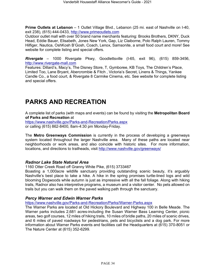**Prime Outlets at Lebanon** – 1 Outlet Village Blvd., Lebanon (25 mi. east of Nashville on I-40, exit 238), (615) 444-0433, [http://www.primeoutlets.com](http://www.primeoutlets.com/)

Outdoor outlet mall with over 50 brand name merchants featuring: Brooks Brothers, DKNY, Duck Head, Eddie Bauer, Elisabeth, Jones New York, Gap, Liz Claiborne, Polo Ralph Lauren, Tommy Hilfiger, Nautica, OshKosh B'Gosh, Coach, Lenox, Samsonite, a small food court and more! See website for complete listing and special offers.

*Rivergate* – 1000 Rivergate Pkwy, Goodlettsville (I-65, exit 96), (615) 859-3456, [http://www.rivergate-mall.com](http://www.rivergate-mall.com/)

Features: Dillard's, Macy's, The Disney Store, T, Gymboree, KB Toys, The Children's Place, Limited Too, Lane Bryant, Abercrombie & Fitch , Victoria's Secret, Linens & Things, Yankee Candle Co., a food court, & Rivergate 8 Carmike Cinema, etc. See website for complete listing and special offers.

# <span id="page-33-0"></span>**PARKS AND RECREATION**

A complete list of parks (with maps and events) can be found by visiting the **Metropolitan Board of Parks and Recreation** at

<https://www.nashville.gov/Parks-and-Recreation/Parks.aspx> or calling (615) 862-8400, 8am-4:30 pm Monday-Friday.

The **Metro Greenways Commission** is currently in the process of developing a greenways system located throughout the larger Nashville area. Many of these paths are located near neighborhoods or work areas, and also coincide with historic sites. For [more information,](http://www.nashville.gov/greenways/)  [locations, and directions to trailheads, visit http://www.nashville.gov/greenways/](http://www.nashville.gov/greenways/)

### *Radnor Lake State Natural Area*

1160 Otter Creek Road off Granny White Pike, (615) 3733467

Boasting a 1,000acre wildlife sanctuary providing outstanding scenic beauty, it's arguably Nashville's best place to take a hike. A hike in the spring promises turtle-lined logs and wild blooming Dogwoods while autumn is just as impressive with all the fall foliage. Along with hiking trails, Radnor also has interpretive programs, a museum and a visitor center. No pets allowed on trails but you can walk them on the paved walking path through the sanctuary.

### *Percy Warner and Edwin Warner Parks*

<https://www.nashville.gov/Parks-and-Recreation/Parks/Warner-Parks.aspx>

The Warner Parks are located at Old Hickory Boulevard and Highway 100 in Belle Meade. The Warner parks includes 2,681 acres-including the Susan Warner Bass Learning Center, picnic areas, two golf courses, 12 miles of hiking trails, 10 miles of bridle paths, 20 miles of scenic drives, and 6 miles of paved roadways for pedestrians, pets and bicyclists and a dog park. For more information about Warner Parks events and facilities call the Headquarters at (615) 370-8051 or The Nature Center at (615) 352-6299.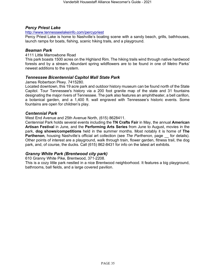### *Percy Priest Lake*

#### <http://www.tennesseelakeinfo.com/percypriest>

Percy Priest Lake is home to Nashville's boating scene with a sandy beach, grills, bathhouses, launch ramps for boats, fishing, scenic hiking trails, and a playground.

#### *Beaman Park*

#### 4111 Little Marrowbone Road

This park boasts 1500 acres on the Highland Rim. The hiking trails wind through native hardwood forests and by a stream. Abundant spring wildflowers are to be found in one of Metro Parks' newest additions to the system.

### *Tennessee Bicentennial Capitol Mall State Park*

James Robertson Pkwy. 7415280.

Located downtown, this 19 acre park and outdoor history museum can be found north of the State Capitol. Tour Tennessee's history via a 200 foot granite map of the state and 31 fountains designating the major rivers of Tennessee. The park also features an amphitheater, a bell carillon, a botanical garden, and a 1,400 ft. wall engraved with Tennessee's historic events. Some fountains are open for children's play.

#### *Centennial Park*

#### West End Avenue and 25th Avenue North, (615) 8628411.

Centennial Park holds several events including the **TN Crafts Fair** in May, the annual **American Artisan Festival** in June, and the **Performing Arts Series** from June to August, movies in the park, **dog shows/competitions** held in the summer months. Most notably it is home of **The Parthenon**, housing Nashville's official art collection (see *The Parthenon*, page for details). Other points of interest are a playground, walk through train, flower garden, fitness trail, the dog park, and, of course, the ducks. Call (615) 862-8431 for info on the latest art exhibits.

### *Granny White Park (Brentwood city park)*

610 Granny White Pike, Brentwood, 371-2208.

This is a cozy little park nestled in a nice Brentwood neighborhood. It features a big playground, bathrooms, ball fields, and a large covered pavilion.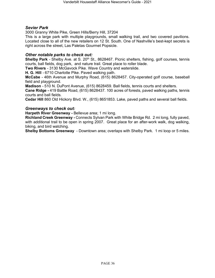### *Sevier Park*

3000 Granny White Pike, Green Hills/Berry Hill, 37204

This is a large park with multiple playgrounds, small walking trail, and two covered pavilions. Located close to all of the new retailers on 12 St. South. One of Nashville's best-kept secrets is right across the street, Las Paletas Gourmet Popsicle.

### *Other notable parks to check out:*

**Shelby Park** - Shelby Ave. at S. 20<sup>th</sup> St., 8628467. Picnic shelters, fishing, golf courses, tennis courts, ball fields, dog park, and nature trail. Great place to roller blade.

**Two Rivers** *-* 3130 McGavock Pike. Wave Country and waterslide.

**H. G. Hill** *-* 6710 Charlotte Pike. Paved walking path.

**McCabe** *-* 46th Avenue and Murphy Road, (615) 8628457. City-operated golf course, baseball field and playground.

**Madison** *-* 510 N. DuPont Avenue, (615) 8628459. Ball fields, tennis courts and shelters.

**Cane Ridge -** 419 Battle Road, (615) 8628437. 100 acres of forests, paved walking paths, tennis courts and ball fields.

**Cedar Hill** 860 Old Hickory Blvd. W., (615) 8651853. Lake, paved paths and several ball fields.

### *Greenways to check out:*

**Harpeth River Greenway -** Bellevue area; 1 mi long.

**Richland Creek Greenway -** Connects Sylvan Park with White Bridge Rd. 2 mi long, fully paved, with additional trail to be open in spring 2007. Great place for an after-work walk, dog walking, biking, and bird watching.

**Shelby Bottoms Greenway** - Downtown area; overlaps with Shelby Park. 1 mi loop or 5 miles.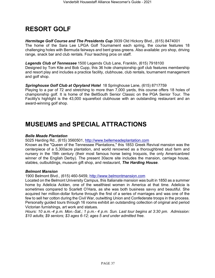# <span id="page-36-0"></span>**RESORT GOLF**

*Hermitage Golf Course and The Presidents Cup* 3939 Old Hickory Blvd., (615) 8474001 The home of the Sara Lee LPGA Golf Tournament each spring, the course features 18 challenging holes with Bermuda fairways and bent grass greens. Also available: pro shop, driving range, snack bar and club rentals. Four teaching pros on staff.

### *Legends Club of Tennessee* 1500 Legends Club Lane, Franklin, (615) 7918100

Designed by Tom Kite and Bob Cupp, this 36 hole championship golf club features membership and resort play and includes a practice facility, clubhouse, club rentals, tournament management and golf shop.

### *Springhouse Golf Club at Opryland Hotel* 18 Springhouse Lane, (615) 8717759

Playing to a par of 72 and stretching to more than 7,000 yards, this course offers 18 holes of championship golf. It is home of the BellSouth Senior Classic on the PGA Senior Tour. The Facility's highlight is the 43,000 squarefoot clubhouse with an outstanding restaurant and an award-winning golf shop.

# <span id="page-36-1"></span>**MUSEUMS and SPECIAL ATTRACTIONS**

### *Belle Meade Plantation*

5025 Harding Rd., (615) 3560501, [http://www.bellemeadeplantation.com](http://www.bellemeadeplantation.com/)

Known as the "Queen of the Tennessee Plantations," this 1853 Greek Revival mansion was the centerpiece of a 5,300acre plantation, and world renowned as a thoroughbred stud farm and nursery in the 19th century (their most famous horse being Iroquois, the only Americanbred winner of the English Derby). The present 30acre site includes the mansion, carriage house, stables, outbuildings, museum gift shop, and restaurant, *The Harding House*.

### *Belmont Mansion*

1900 Belmont Blvd., (615) 460-5459, [http://www.belmontmansion.com](http://www.belmontmansion.com/)

Located on the Belmont University Campus, this Italianate mansion was built in 1850 as a summer home by Adelicia Acklen, one of the wealthiest women in America at that time. Adelicia is sometimes compared to Scarlett O'Hara, as she was both business savvy and beautiful. She acquired her million-dollar fortune through the first of a series of marriages and was one of the few to sell her cotton during the Civil War, outwitting Union and Confederate troops in the process. Personally guided tours through 16 rooms exhibit an outstanding collection of original and period Victorian furnishings, art work and statues.

*Hours: 10 a.m.-4 p.m. Mon.-Sat.; 1 p.m.- 4 p.m. Sun. Last tour begins at 3:30 pm. Admission: \$10 adults; \$9 seniors; \$3 ages 6-12; ages 5 and under admitted free.*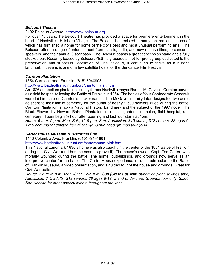### *Belcourt Theatre*

### 2102 Belcourt Avenue, [http://www.belcourt.org](http://www.belcourt.org/)

For over 75 years, the Belcourt Theatre has provided a space for premiere entertainment in the heart of Nashville's Hillsboro Village. The Belcourt has existed in many incarnations - each of which has furnished a home for some of the city's best and most unusual performing arts. The Belcourt offers a range of entertainment from classic, Indie, and new release films, to concerts, speakers, and their annual Oscar bash. The Belcourt boasts a great concession stand and a fully stocked bar. Recently leased by Belcourt YES!, a grassroots, not-for-profit group dedicated to the preservation and successful operation of The Belcourt, it continues to thrive as a historic landmark. It evens is one of a few satellite hosts for the Sundance Film Festival.

### *Carnton Plantation*

1354 Carnton Lane, Franklin, (615) 7940903,

[http://www.battleoffranklintrust.org/carnton\\_visit.htm](http://www.battleoffranklintrust.org/carnton_visit.htm)

An 1826 antebellum plantation built by former Nashville mayor Randal McGavock, Carnton served as a field hospital following the Battle of Franklin in 1864. The bodies of four Confederate Generals were laid in state on Carnton's back veranda. The McGavock family later designated two acres adjacent to their family cemetery for the burial of nearly 1,500 soldiers killed during the battle. Carnton Plantation is now a National Historic Landmark and the subject of the 1997 novel, The Black Flower, by Howard Bahr. Plantation includes: gardens, mansion, field hospital, and cemetery. Tours begin ½ hour after opening and last tour starts at 4pm.

*Hours: 9 a.m.-5 p.m. Mon.-Sat.; 12-5 p.m. Sun. Admission: \$15 adults; \$12 seniors; \$8 ages 6- 12; 5 and under admitted free of charge. Self-guided grounds tour \$5.00.*

### *Carter House Museum & Historical Site*

1140 Columbia Ave., Franklin, (615) 791–1861,

[http://www.battleoffranklintrust.org/carterhouse\\_visit.htm](http://www.battleoffranklintrust.org/carterhouse_visit.htm)

This National Landmark 1830's home was also caught in the center of the 1864 Battle of Franklin during the Civil War (and has the scars to prove it). The house's owner, Capt. Tod Carter, was mortally wounded during the battle. The home, outbuildings, and grounds now serve as an interpretive center for the battle. The Carter House experience includes admission to the Battle of Franklin Museum, a video presentation, and a guided tour of the house and grounds. Great for Civil War buffs.

*Hours: 9 a.m.-5 p.m. Mon.-Sat.; 12-5 p.m. Sun.(Closes at 4pm during daylight savings time) Admission: \$15 adults; \$12 seniors; \$8 ages 6-12; 5 and under free. Grounds tour only: \$5.00. See website for other special events throughout the year.*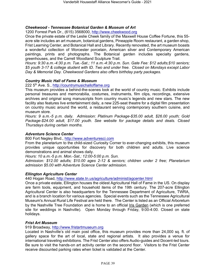### *Cheekwood - Tennessee Botanical Garden & Museum of Art*

1200 Forrest Park Dr., (615) 3568000, [http://www.cheekwood.org](http://www.cheekwood.org/)

Once the private estate of the Leslie Cheek family of the Maxwell House Coffee Fortune, this 55 acre site includes an art museum, botanical gardens, Pineapple Room restaurant, a garden shop, Frist Learning Center, and Botanical Hall and Library. Recently renovated, the art museum boasts a wonderful collection of Worcester porcelain, American silver and Contemporary American paintings, prints and photographs. The Botanical garden includes specialty gardens, greenhouses, and the Carrell Woodland Sculpture Trail.

*Hours: 9:30 a.m.-4:30 p.m. Tue.-Sat.; 11 a.m.-4:30 p.m. Sun. Gate Fee: \$12 adults;\$10 seniors; \$5 youth 3-17 & college student with ID. Two and under free. Closed on Mondays except Labor Day & Memorial Day. Cheekwood Gardens also offers birthday party packages.*

### *Country Music Hall of Fame & Museum*

222 5th Ave. S., [http://countrymusichalloffame.org](http://countrymusichalloffame.org/)

This museum provides a behind-the-scenes look at the world of country music. Exhibits include personal treasures and memorabilia, costumes, instruments, film clips, recordings, extensive archives and original song manuscripts from country music's legends and new stars. The new facility also features live entertainment daily, a new 225-seat theatre for a digital film presentation on country music around the world, a restaurant serving contemporary southern cuisine, and museum store.

*Hours: 9 a.m.-5 p.m. daily. Admission: Platinum Package-\$35.00 adult, \$26.00 youth; Gold Package-\$24.00 adult, \$17.00 youth. See website for package details and deals. Closed Thursdays during certain months.*

### *Adventure Science Center*

800 Fort Negley Blvd., [http://www.adventuresci.com](http://www.adventuresci.com/)

From the planetarium to the child-sized Curiosity Corner to ever-changing exhibits, this museum provides unique opportunities for discovery for both children and adults. Live science demonstrations and animal shows daily.

*Hours: 10 a.m.-5 p.m. Mon.-Sat.; 12:00-5:00 p.m. Sun.* 

*Admission: \$12.00 adults; \$10.00 ages 2-12 & seniors; children under 2 free; Planetarium admission \$5.00 with Adventure Science Center admission.*

### *Ellington Agriculture Center*

440 Hogan Road,<http://www.state.tn.us/agriculture/administ/agcenter.html>

Once a private estate, Ellington houses the oldest Agricultural Hall of Fame in the US. On display are farm tools, equipment, and household items of the 19th century. The 207-acre Ellington Agricultural Center is also headquarters for the Tennessee Department of Agriculture, TWRA, and is a branch location for various agencies. Special events such as the Tennessee Agricultural Museum's Annual Rural Life Festival are held there. The Center is listed as an Official Arboretum by the Nashville Tree Foundation and is home to an official [Iris Garden](http://www.state.tn.us/agriculture/administ/iris.html) (which is one preferred site for weddings in Nashville). Open Monday through Friday, 9:00-4:00. Closed on state holidays.

### *Frist Art Museum*

919 Broadway, [http://www.fristartmuseum.org](http://www.fristartmuseum.org/)

Located in Nashville's old main post office, this museum provides more than 24,000 sq. ft. of gallery space for the art of local, state and regional artists. It also provides a venue for international traveling exhibitions. The Frist Center also offers Audio-guides and Docent-led tours. Be sure to visit the hands-on art activity center on the second floor. Visitors to the Frist Center receive discounted parking rates when ticket is validated at the Center.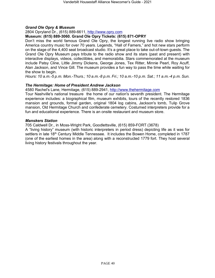### *Grand Ole Opry & Museum*

### 2804 Opryland Dr., (615) 889-6611, [http://www.opry.com](http://www.opry.com/)

### **Museum: (615) 889-3060. Grand Ole Opry Tickets: (615) 871-OPRY**

Don't miss the world famous Grand Ole Opry, the longest running live radio show bringing America country music for over 70 years. Legends, "Hall of Famers," and hot new stars perform on the stage of the 4,400 seat broadcast studio. It's a great place to take out-of-town guests. The Grand Ole Opry Museum pays tribute to the radio show and its stars (past and present) with interactive displays, videos, collectibles, and memorabilia. Stars commemorated at the museum include Patsy Cline, Little Jimmy Dickens, George Jones, Tex Ritter, Minnie Pearl, Roy Acuff, Alan Jackson, and Vince Gill. The museum provides a fun way to pass the time while waiting for the show to begin.

*Hours: 10 a.m.-5 p.m. Mon.-Thurs.; 10 a.m.-8 p.m. Fri.; 10 a.m.-10 p.m. Sat.; 11 a.m.-4 p.m. Sun.*

### *The Hermitage: Home of President Andrew Jackson*

4580 Rachel's Lane, Hermitage, (615) 889-2941, [http://www.thehermitage.com](http://www.thehermitage.com/)

Tour Nashville's national treasure the home of our nation's seventh president. The Hermitage experience includes: a biographical film, museum exhibits, tours of the recently restored 1836 mansion and grounds, formal garden, original 1804 log cabins, Jackson's tomb, Tulip Grove mansion, Old Hermitage Church and confederate cemetery. Costumed interpreters provide for a fun and educational experience. There is an onsite restaurant and museum store.

### *Manskers Station*

705 Caldwell Dr., in Moss-Wright Park, Goodlettsville, (615) 859-FORT (3678)

A "living history" museum (with historic interpreters in period dress) depicting life as it was for settlers in late 18<sup>th</sup> Century Middle Tennessee. It includes the Bowen Home, completed in 1787 (one of the earliest homes in the area) along with a reconstructed 1779 fort. They host several living history festivals throughout the year.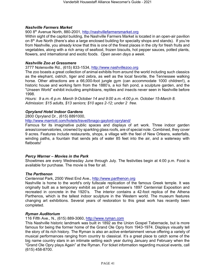### *Nashville Farmers Market*

900 8th Avenue North, 880-2001, [http://nashvillefarmersmarket.org](http://nashvillefarmersmarket.org/)

Within sight of the capitol building, the Nashville Farmers Market is located in an open-air pavilion on 8<sup>th</sup> Ave North (there's also a large enclosed building for specialty shops and stands). If you're from Nashville, you already know that this is one of the finest places in the city for fresh fruits and vegetables, along with a rich array of seafood, frozen biscuits, hot pepper sauces, potted plants, flowers, and international and exotic foods. *Open seven days a week*.

#### *Nashville Zoo at Grassmere*

3777 Nolensville Rd., (615) 833-1534, [http://www.nashvillezoo.org](http://www.nashvillezoo.org/)

The zoo boasts a great collection of animal exhibits from around the world including such classics as the elephant, ostrich, tiger and zebra, as well as the local favorite, the Tennessee walking horse. Other attractions are a 66,000-foot jungle gym (can accommodate 1000 children!), a historic house and working farm from the 1880's, a koi fish pond, a sculpture garden, and the "Unseen World" exhibit including amphibians, reptiles and insects never seen in Nashville before 1998.

*Hours: 9 a.m.-6 p.m. March 9-October 14 and 9:00 a.m.-4:00 p.m. October 15-March 8. Admission: \$15 adults, \$13 seniors; \$10 ages 2-12; under 2 free.*

### *Opryland Hotel Indoor Gardens*

2800 Opryland Dr., (615) 8891000,

<http://www.marriott.com/hotels/travel/bnago-gaylord-opryland/>

Famous for its imaginative public spaces and displays of art work. Three indoor garden areas/conservatories, crowned by sparkling glass roofs, are of special note. Combined, they cover 9 acres. Features include restaurants, shops, a village with the feel of New Orleans, waterfalls, winding paths, a fountain that sends jets of water 85 feet into the air, and a waterway with flatboats*!* 

#### *Percy Warner – Movies in the Park*

Showtimes are every Wednesday June through July. The festivities begin at 4:00 p.m. Food is available for purchase. The movie is free for all.

#### *The Parthenon*

Centennial Park, 2500 West End Ave., [http://www.parthenon.org](http://www.parthenon.org/)

Nashville is home to the world's only fullscale replication of the famous Greek temple. It was originally built as a temporary exhibit as part of Tennessee's 1897 Centennial Exposition and recreated in concrete in the 1920's. The interior contains a 42-foot replica of the Athena Parthenos, which is the tallest indoor sculpture in the Western world. The museum features changing art exhibitions. Several years of restoration to this great work has recently been completed.

#### *Ryman Auditorium*

116 Fifth Ave., N., (615) 889-3060, [http://www.ryman.com](http://www.ryman.com/)

This Nashville historic landmark was built in 1892 as the Union Gospel Tabernacle, but is more famous for being the former home of the Grand Ole Opry from 1943-1974. Displays visually tell the story of its rich history. The Ryman is also an active entertainment venue offering a variety of musical performances ranging from country to classical. It's a great place to catch some of the big name country stars in an intimate setting each year during January and February when the "Grand Ole Opry plays Again" at the Ryman. For ticket information regarding musical events, call (615) 458-8700.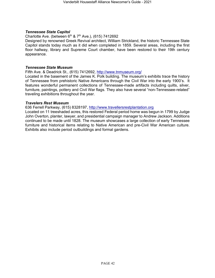### *Tennessee State Capitol*

Charlotte Ave. (between  $6<sup>th</sup>$  &  $7<sup>th</sup>$  Ave.), (615) 7412692

Designed by renowned Greek Revival architect, William Strickland, the historic Tennessee State Capitol stands today much as it did when completed in 1859. Several areas, including the first floor hallway, library and Supreme Court chamber, have been restored to their 19th century appearance.

#### *Tennessee State Museum*

Fifth Ave. & Deadrick St., (615) 7412692,<http://www.tnmuseum.org/>

Located in the basement of the James K. Polk building. The museum's exhibits trace the history of Tennessee from prehistoric Native Americans through the Civil War into the early 1900's. It features wonderful permanent collections of Tennessee-made artifacts including quilts, silver, furniture, paintings, pottery and Civil War flags. They also have several "non-Tennessee-related" traveling exhibitions throughout the year.

#### *Travelers Rest Museum*

636 Ferrell Parkway, (615) 8328197, [http://www.travellersrestplantation.org](http://www.travellersrestplantation.org/)

Located on 11 treeshaded acres, this restored Federal period home was begun in 1799 by Judge John Overton, planter, lawyer, and presidential campaign manager to Andrew Jackson. Additions continued to be made until 1828. The museum showcases a large collection of early Tennessee furniture and historical items relating to Native American and pre-Civil War American culture. Exhibits also include period outbuildings and formal gardens.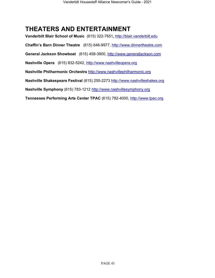# <span id="page-42-0"></span>**THEATERS AND ENTERTAINMENT**

**Vanderbilt Blair School of Music** (615) 322-7651**,** [http://blair.vanderbilt.edu](http://blair.vanderbilt.edu/) **Chaffin's Barn Dinner Theatre** (615) 646-9977, [http://www.dinnertheatre.com](http://www.dinnertheatre.com/) **General Jackson Showboat** (615) 458-3900, [http://www.generaljackson.com](http://www.generaljackson.com/) **Nashville Opera** (615) 832-5242, [http://www.nashvilleopera.org](http://www.nashvilleopera.org/) **Nashville Philharmonic Orchestra** [http://www.nashvillephilharmonic.org](http://www.nashvillephilharmonic.org/) **Nashville Shakespeare Festival** (615) 255-2273 [http://www.nashvilleshakes.org](http://www.nashvilleshakes.org/) **Nashville Symphony** (615) 783-1212 [http://www.nashvillesymphony.org](http://www.nashvillesymphony.org/) **Tennessee Performing Arts Center TPAC** (615) 782-4000, [http://www.tpac.org](http://www.tpac.org/)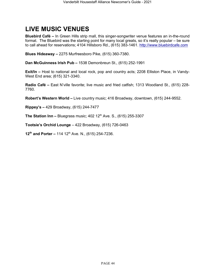# <span id="page-43-0"></span>**LIVE MUSIC VENUES**

**Bluebird Café –** In Green Hills strip mall, this singer-songwriter venue features an in-the-round format. The Bluebird was the starting point for many local greats, so it's really popular – be sure to call ahead for reservations; 4104 Hillsboro Rd., (615) 383-1461. [http://www.bluebirdcafe.com](http://www.bluebirdcafe.com/)

**Blues Hideaway –** 2275 Murfreesboro Pike, (615) 360-7380.

**Dan McGuinness Irish Pub –** 1538 Demonbreun St., (615) 252-1991

**Exit/In –** Host to national and local rock, pop and country acts; 2208 Elliston Place, in Vandy-West End area; (615) 321-3340.

**Radio Café –** East N'ville favorite; live music and fried catfish; 1313 Woodland St., (615) 228- 7760.

**Robert's Western World –** Live country music; 416 Broadway, downtown, (615) 244-9552.

**Rippey's –** 429 Broadway, (615) 244-7477

**The Station Inn –** Bluegrass music; 402 12<sup>th</sup> Ave. S., (615) 255-3307

**Tootsie's Orchid Lounge** – 422 Broadway, (615) 726-0463

**12th and Porter –** 114 12th Ave. N., (615) 254-7236.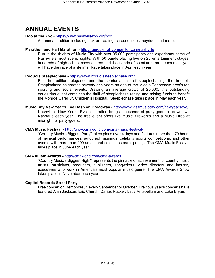# <span id="page-44-0"></span>**ANNUAL EVENTS**

### **Boo at the Zoo** - <https://www.nashvillezoo.org/boo>

An annual tradition including trick-or-treating, carousel rides, hayrides and more.

### **Marathon and Half Marathon** - <http://runrocknroll.competitor.com/nashville>

Run to the rhythm of Music City with over 35,000 participants and experience some of Nashville's most scenic sights. With 50 bands playing live on 28 entertainment stages, hundreds of high school cheerleaders and thousands of spectators on the course – you will have the race of a lifetime. Race takes place in April each year.

### **Iroquois Steeplechase -** <https://www.iroquoissteeplechase.org/>

Rich in tradition, elegance and the sportsmanship of steeplechasing, the Iroquois Steeplechase celebrates seventy-one years as one of the Middle Tennessee area's top sporting and social events. Drawing an average crowd of 25,000, this outstanding equestrian event combines the thrill of steeplechase racing and raising funds to benefit the Monroe Carell Jr. Children's Hospital. Steeplechase takes place in May each year.

**Music City New Year's Eve Bash on Broadway** - <http://www.visitmusiccity.com/newyearseve/> Nashville's New Year's Eve celebration brings thousands of party-goers to downtown Nashville each year. The free event offers live music, fireworks and a Music Drop at midnight for party-goers.

### **CMA Music Festival -** <http://www.cmaworld.com/cma-music-festival/>

"Country Music's Biggest Party" takes place over 4 days and features more than 70 hours of musical performances, autograph signings, celebrity sports competitions, and other events with more than 400 artists and celebrities participating. The CMA Music Festival takes place in June each year.

#### **CMA Music Awards -** <http://cmaworld.com/cma-awards>

"Country Music's Biggest Night" represents the pinnacle of achievement for country music artists, musicians, producers, publishers, songwriters, video directors and industry executives who work in America's most popular music genre. The CMA Awards Show takes place in November each year.

### **Capitol Records Street Party**

Free concert on Demonbreun every September or October. Previous year's concerts have featured Alan Jackson, Eric Church, Darius Rucker, Lady Antebellum and Luke Bryan.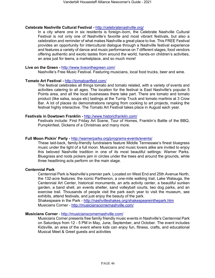#### **Celebrate Nashville Cultural Festival -** <http://celebratenashville.org/>

In a city where one in six residents is foreign–born, the Celebrate Nashville Cultural Festival is not only one of Nashville's favorite and most vibrant festivals, but also a celebration and reminder of what makes Nashville a great place to live. This FREE Festival provides an opportunity for intercultural dialogue through a Nashville festival experience and features a variety of dance and music performance on 7 different stages, food vendors offering authentic and exotic tastes from around the world, hands-on children's activities, an area just for teens, a marketplace, and so much more!

#### **Live on the Green -** <http://www.liveonthegreen.com/>

Nashville's Free Music Festival. Featuring musicians, local food trucks, beer and wine.

#### **Tomato Art Festival -** <http://tomatoartfest.com/>

The festival celebrates all things tomato and tomato related, with a variety of events and activities catering to all ages. The location for the festival is East Nashville's popular 5 Points area, and all the local businesses there take part. There are tomato and tomato product (like salsa, soups etc) tastings at the Turnip Truck and tomato martinis at 3 Crow Bar. A lot of places do demonstrations ranging from cooking to art projects, making the festival highly interactive. The Tomato Art Festival takes place in August each year.

#### **Festivals in Dowtown Franklin -** <http://www.historicfranklin.com/>

Festivals include: First Friday Art Scene, Tour of Homes, Franklin's Battle of the BBQ, Pumpkinfest, Dickens of a Christmas and many more.

#### **Full Moon Pickin' Party -** <http://warnerparks.org/programs-events/events/>

These laid-back, family-friendly fundraisers feature Middle Tennessee's finest bluegrass music under the light of a full moon. Musicians and music lovers alike are invited to enjoy this beloved Nashville tradition in one of its most beautiful settings: Warner Parks. Bluegrass and roots pickers jam in circles under the trees and around the grounds, while three headlining acts perform on the main stage.

#### **Centennial Park**

Centennial Park is Nashville's premier park. Located on West End and 25th Avenue North, the 132-acre features: the iconic Parthenon, a one-mile walking trail, Lake Watauga, the Centennial Art Center, historical monuments, an arts activity center, a beautiful sunken garden, a band shell, an events shelter, sand volleyball courts, two dog parks, and an exercise trail. Thousands of people visit the park each year to visit the museum, see exhibits, attend festivals, and just enjoy the beauty of the park.

Shakespeare in the Park - <http://nashvilleshakes.org/shakespeareinthepark.htm> Musicians Corner - <http://musicianscornernashville.com/>

#### **Musicians Corner** - <http://musicianscornernashville.com/>

Musicians Corner presents free family friendly music events in Nashville's Centennial Park on Saturdays from 12 - 5 PM in May, June, September, and October. The event includes Kidsville, an area of the event where kids can enjoy fun, fitness, crafts, and educational Musical Meet & Greet guests and activities